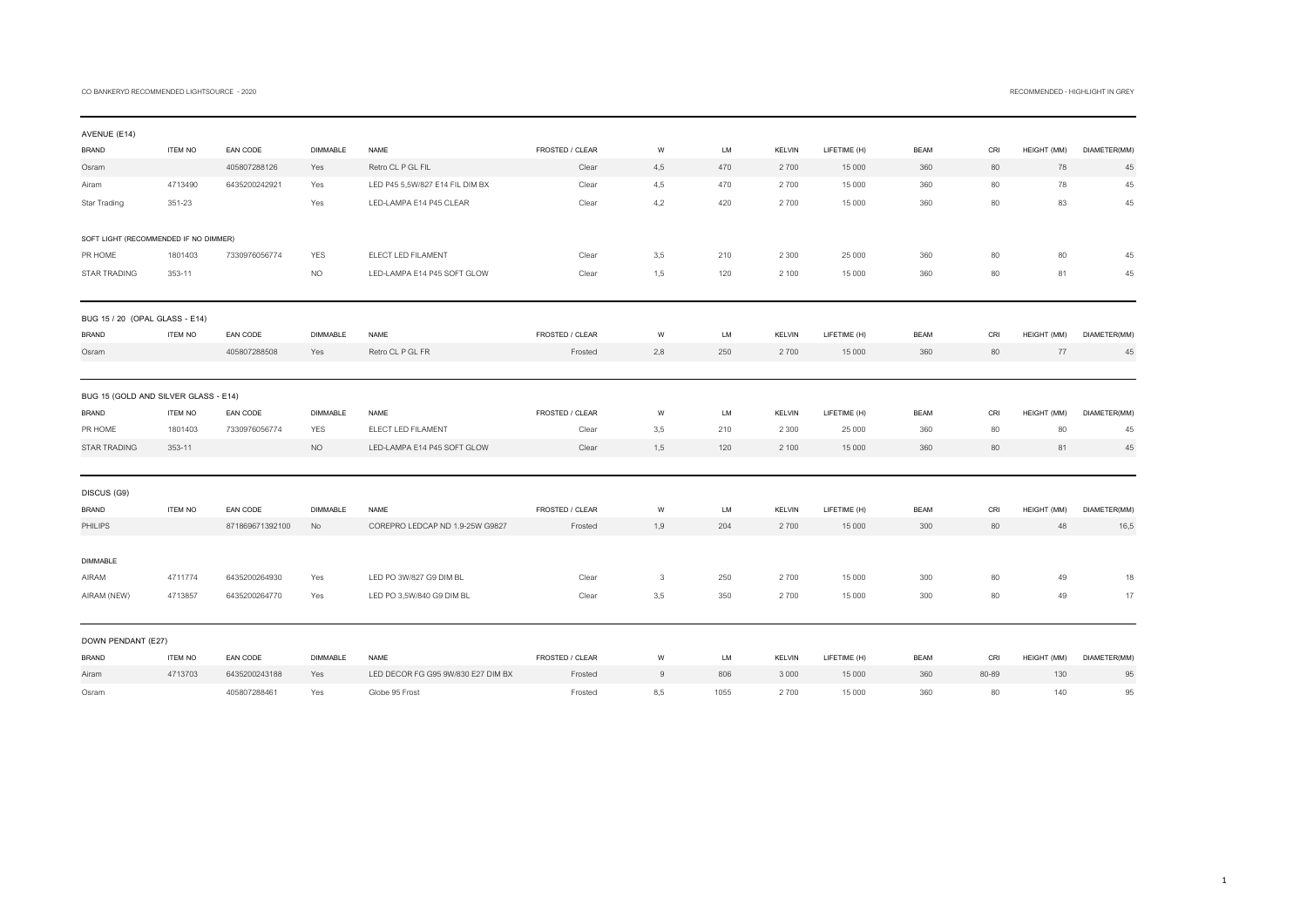## CO BANKERYD RECOMMENDED LIGHTSOURCE - 2020 RECOMMENDED - HIGHLIGHT IN GREY

| AVENUE (E14)                          |                |                 |                 |                                    |                 |     |      |               |              |             |       |             |              |
|---------------------------------------|----------------|-----------------|-----------------|------------------------------------|-----------------|-----|------|---------------|--------------|-------------|-------|-------------|--------------|
| <b>BRAND</b>                          | <b>ITEM NO</b> | EAN CODE        | <b>DIMMABLE</b> | <b>NAME</b>                        | FROSTED / CLEAR | W   | LM   | <b>KELVIN</b> | LIFETIME (H) | <b>BEAM</b> | CRI   | HEIGHT (MM) | DIAMETER(MM) |
| Osram                                 |                | 405807288126    | Yes             | Retro CL P GL FIL                  | Clear           | 4,5 | 470  | 2700          | 15 000       | 360         | 80    | 78          | 45           |
| Airam                                 | 4713490        | 6435200242921   | Yes             | LED P45 5,5W/827 E14 FIL DIM BX    | Clear           | 4,5 | 470  | 2700          | 15 000       | 360         | 80    | 78          | 45           |
| Star Trading                          | 351-23         |                 | Yes             | LED-LAMPA E14 P45 CLEAR            | Clear           | 4,2 | 420  | 2700          | 15 000       | 360         | 80    | 83          | 45           |
| SOFT LIGHT (RECOMMENDED IF NO DIMMER) |                |                 |                 |                                    |                 |     |      |               |              |             |       |             |              |
| PR HOME                               | 1801403        | 7330976056774   | <b>YES</b>      | ELECT LED FILAMENT                 | Clear           | 3.5 | 210  | 2 3 0 0       | 25 000       | 360         | 80    | 80          | 45           |
| <b>STAR TRADING</b>                   | 353-11         |                 | <b>NO</b>       | LED-LAMPA E14 P45 SOFT GLOW        | Clear           | 1,5 | 120  | 2 100         | 15 000       | 360         | 80    | 81          | 45           |
| BUG 15 / 20 (OPAL GLASS - E14)        |                |                 |                 |                                    |                 |     |      |               |              |             |       |             |              |
| <b>BRAND</b>                          | <b>ITEM NO</b> | EAN CODE        | <b>DIMMABLE</b> | <b>NAME</b>                        | FROSTED / CLEAR | W   | LM   | <b>KELVIN</b> | LIFETIME (H) | <b>BEAM</b> | CRI   | HEIGHT (MM) | DIAMETER(MM) |
| Osram                                 |                | 405807288508    | Yes             | Retro CL P GL FR                   | Frosted         | 2,8 | 250  | 2700          | 15 000       | 360         | 80    | 77          | 45           |
| BUG 15 (GOLD AND SILVER GLASS - E14)  |                |                 |                 |                                    |                 |     |      |               |              |             |       |             |              |
| <b>BRAND</b>                          | <b>ITEM NO</b> | EAN CODE        | <b>DIMMABLE</b> | <b>NAME</b>                        | FROSTED / CLEAR | W   | LM   | <b>KELVIN</b> | LIFETIME (H) | <b>BEAM</b> | CRI   | HEIGHT (MM) | DIAMETER(MM) |
| PR HOME                               | 1801403        | 7330976056774   | <b>YES</b>      | ELECT LED FILAMENT                 | Clear           | 3,5 | 210  | 2 3 0 0       | 25 000       | 360         | 80    | 80          | 45           |
| STAR TRADING                          | 353-11         |                 | <b>NO</b>       | LED-LAMPA E14 P45 SOFT GLOW        | Clear           | 1.5 | 120  | 2 100         | 15 000       | 360         | 80    | 81          | 45           |
| DISCUS (G9)                           |                |                 |                 |                                    |                 |     |      |               |              |             |       |             |              |
| <b>BRAND</b>                          | <b>ITEM NO</b> | EAN CODE        | <b>DIMMABLE</b> | <b>NAME</b>                        | FROSTED / CLEAR | W   | LM   | <b>KELVIN</b> | LIFETIME (H) | <b>BEAM</b> | CRI   | HEIGHT (MM) | DIAMETER(MM) |
| <b>PHILIPS</b>                        |                | 871869671392100 | No              | COREPRO LEDCAP ND 1.9-25W G9827    | Frosted         | 1,9 | 204  | 2700          | 15 000       | 300         | 80    | 48          | 16,5         |
| <b>DIMMABLE</b>                       |                |                 |                 |                                    |                 |     |      |               |              |             |       |             |              |
| AIRAM                                 | 4711774        | 6435200264930   | Yes             | LED PO 3W/827 G9 DIM BL            | Clear           | 3   | 250  | 2700          | 15 000       | 300         | 80    | 49          | 18           |
| AIRAM (NEW)                           | 4713857        | 6435200264770   | Yes             | LED PO 3,5W/840 G9 DIM BL          | Clear           | 3,5 | 350  | 2700          | 15 000       | 300         | 80    | 49          | 17           |
| DOWN PENDANT (E27)                    |                |                 |                 |                                    |                 |     |      |               |              |             |       |             |              |
| <b>BRAND</b>                          | <b>ITEM NO</b> | EAN CODE        | <b>DIMMABLE</b> | NAME                               | FROSTED / CLEAR | W   | LM   | <b>KELVIN</b> | LIFETIME (H) | <b>BEAM</b> | CRI   | HEIGHT (MM) | DIAMETER(MM) |
| Airam                                 | 4713703        | 6435200243188   | Yes             | LED DECOR FG G95 9W/830 E27 DIM BX | Frosted         | 9   | 806  | 3 0 0 0       | 15 000       | 360         | 80-89 | 130         | 95           |
| Osram                                 |                | 405807288461    | Yes             | Globe 95 Frost                     | Frosted         | 8,5 | 1055 | 2700          | 15 000       | 360         | 80    | 140         | 95           |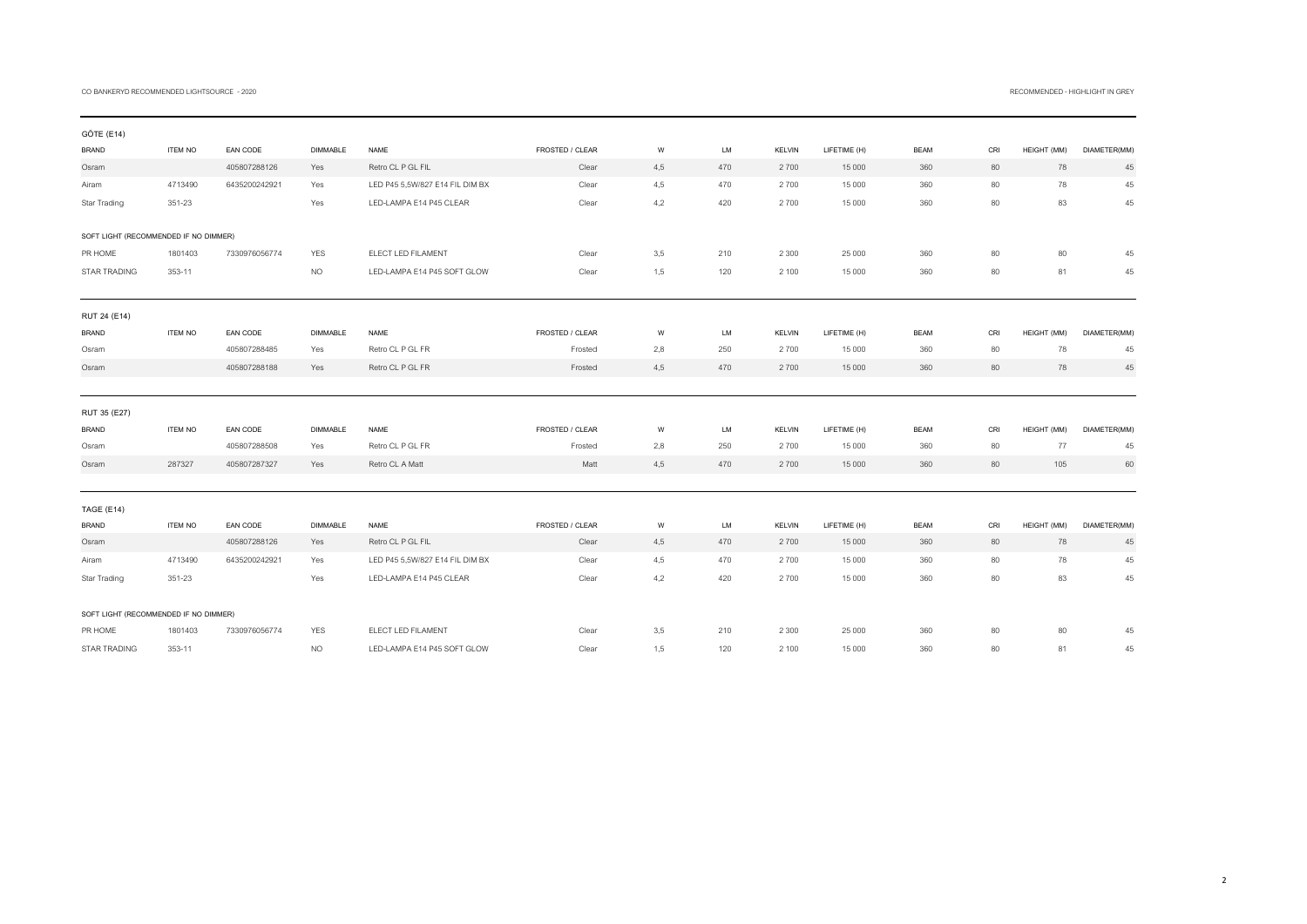## CO BANKERYD RECOMMENDED LIGHTSOURCE - 2020 RECOMMENDED - HIGHLIGHT IN GREY

| GÖTE (E14)                            |                |               |                 |                                 |                 |     |     |               |              |             |     |             |              |
|---------------------------------------|----------------|---------------|-----------------|---------------------------------|-----------------|-----|-----|---------------|--------------|-------------|-----|-------------|--------------|
| <b>BRAND</b>                          | <b>ITEM NO</b> | EAN CODE      | <b>DIMMABLE</b> | <b>NAME</b>                     | FROSTED / CLEAR | W   | LM  | <b>KELVIN</b> | LIFETIME (H) | <b>BEAM</b> | CRI | HEIGHT (MM) | DIAMETER(MM) |
| Osram                                 |                | 405807288126  | Yes             | Retro CL P GL FIL               | Clear           | 4,5 | 470 | 2700          | 15 000       | 360         | 80  | 78          | 45           |
| Airam                                 | 4713490        | 6435200242921 | Yes             | LED P45 5,5W/827 E14 FIL DIM BX | Clear           | 4,5 | 470 | 2700          | 15 000       | 360         | 80  | 78          | 45           |
| Star Trading                          | 351-23         |               | Yes             | LED-LAMPA E14 P45 CLEAR         | Clear           | 4,2 | 420 | 2700          | 15 000       | 360         | 80  | 83          | 45           |
|                                       |                |               |                 |                                 |                 |     |     |               |              |             |     |             |              |
| SOFT LIGHT (RECOMMENDED IF NO DIMMER) |                |               |                 |                                 |                 |     |     |               |              |             |     |             |              |
| PR HOME                               | 1801403        | 7330976056774 | <b>YES</b>      | ELECT LED FILAMENT              | Clear           | 3,5 | 210 | 2 3 0 0       | 25 000       | 360         | 80  | 80          | 45           |
| STAR TRADING                          | 353-11         |               | <b>NO</b>       | LED-LAMPA E14 P45 SOFT GLOW     | Clear           | 1.5 | 120 | 2 100         | 15 000       | 360         | 80  | 81          | 45           |
|                                       |                |               |                 |                                 |                 |     |     |               |              |             |     |             |              |
| RUT 24 (E14)                          |                |               |                 |                                 |                 |     |     |               |              |             |     |             |              |
| <b>BRAND</b>                          | <b>ITEM NO</b> | EAN CODE      | <b>DIMMABLE</b> | <b>NAME</b>                     | FROSTED / CLEAR | W   | LM  | <b>KELVIN</b> | LIFETIME (H) | <b>BEAM</b> | CRI | HEIGHT (MM) | DIAMETER(MM) |
| Osram                                 |                | 405807288485  | Yes             | Retro CL P GL FR                | Frosted         | 2,8 | 250 | 2700          | 15 000       | 360         | 80  | 78          | 45           |
| Osram                                 |                | 405807288188  | Yes             | Retro CL P GL FR                | Frosted         | 4,5 | 470 | 2700          | 15 000       | 360         | 80  | 78          | 45           |
|                                       |                |               |                 |                                 |                 |     |     |               |              |             |     |             |              |
| RUT 35 (E27)                          |                |               |                 |                                 |                 |     |     |               |              |             |     |             |              |
| <b>BRAND</b>                          | <b>ITEM NO</b> | EAN CODE      | <b>DIMMABLE</b> | <b>NAME</b>                     | FROSTED / CLEAR | W   | LM  | <b>KELVIN</b> | LIFETIME (H) | <b>BEAM</b> | CRI | HEIGHT (MM) | DIAMETER(MM) |
| Osram                                 |                | 405807288508  | Yes             | Retro CL P GL FR                | Frosted         | 2,8 | 250 | 2700          | 15 000       | 360         | 80  | 77          | 45           |
| Osram                                 | 287327         | 405807287327  | Yes             | Retro CL A Matt                 | Matt            | 4,5 | 470 | 2700          | 15 000       | 360         | 80  | 105         | 60           |
|                                       |                |               |                 |                                 |                 |     |     |               |              |             |     |             |              |
|                                       |                |               |                 |                                 |                 |     |     |               |              |             |     |             |              |
| TAGE (E14)                            |                |               |                 |                                 |                 |     |     |               |              |             |     |             |              |
| <b>BRAND</b>                          | <b>ITEM NO</b> | EAN CODE      | <b>DIMMABLE</b> | NAME                            | FROSTED / CLEAR | W   | LM  | <b>KELVIN</b> | LIFETIME (H) | <b>BEAM</b> | CRI | HEIGHT (MM) | DIAMETER(MM) |
| Osram                                 |                | 405807288126  | Yes             | Retro CL P GL FIL               | Clear           | 4,5 | 470 | 2700          | 15 000       | 360         | 80  | 78          | 45           |
| Airam                                 | 4713490        | 6435200242921 | Yes             | LED P45 5,5W/827 E14 FIL DIM BX | Clear           | 4,5 | 470 | 2700          | 15 000       | 360         | 80  | 78          | 45           |
| Star Trading                          | 351-23         |               | Yes             | LED-LAMPA E14 P45 CLEAR         | Clear           | 4,2 | 420 | 2700          | 15 000       | 360         | 80  | 83          | 45           |
|                                       |                |               |                 |                                 |                 |     |     |               |              |             |     |             |              |
| SOFT LIGHT (RECOMMENDED IF NO DIMMER) |                |               |                 |                                 |                 |     |     |               |              |             |     |             |              |
| PR HOME                               | 1801403        | 7330976056774 | <b>YES</b>      | ELECT LED FILAMENT              | Clear           | 3.5 | 210 | 2 3 0 0       | 25 000       | 360         | 80  | 80          | 45           |
| <b>STAR TRADING</b>                   | 353-11         |               | NO.             | LED-LAMPA E14 P45 SOFT GLOW     | Clear           | 1.5 | 120 | 2 100         | 15 000       | 360         | 80  | 81          | 45           |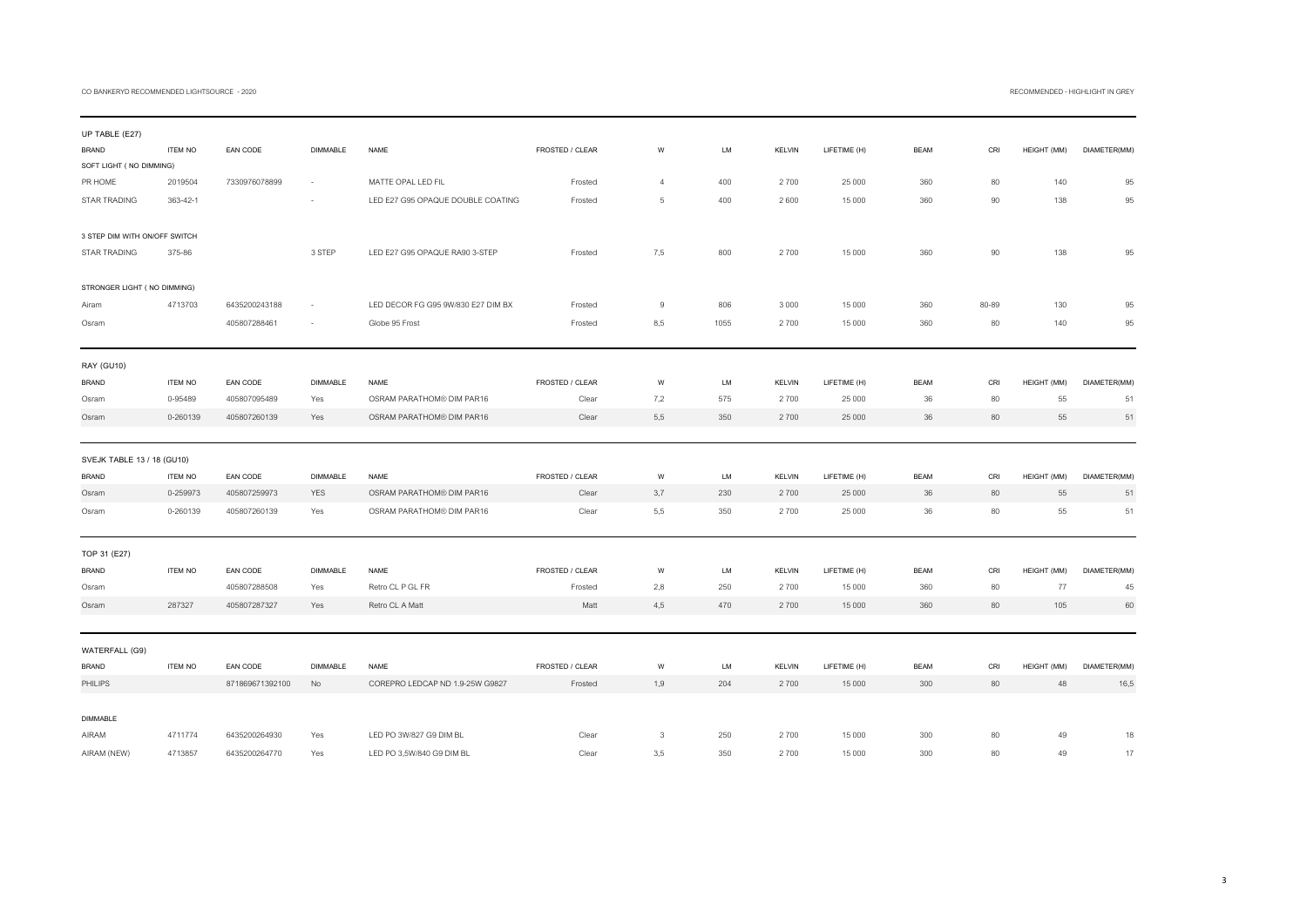## CO BANKERYD RECOMMENDED LIGHTSOURCE - 2020 CO BANKERYD RECOMMENDED - HIGHLIGHT IN GREY

| UP TABLE (E27)                 |                |                             |                 |                                    |                            |                |           |                       |                        |             |           |                   |              |
|--------------------------------|----------------|-----------------------------|-----------------|------------------------------------|----------------------------|----------------|-----------|-----------------------|------------------------|-------------|-----------|-------------------|--------------|
| <b>BRAND</b>                   | <b>ITEM NO</b> | EAN CODE                    | <b>DIMMABLE</b> | <b>NAME</b>                        | FROSTED / CLEAR            | W              | <b>LM</b> | <b>KELVIN</b>         | LIFETIME (H)           | <b>BEAM</b> | CRI       | HEIGHT (MM)       | DIAMETER(MM) |
| SOFT LIGHT ( NO DIMMING)       |                |                             |                 |                                    |                            |                |           |                       |                        |             |           |                   |              |
| PR HOME                        | 2019504        | 7330976078899               |                 | MATTE OPAL LED FIL                 | Frosted                    | $\overline{4}$ | 400       | 2700                  | 25 000                 | 360         | 80        | 140               | 95           |
| <b>STAR TRADING</b>            | 363-42-1       |                             |                 | LED E27 G95 OPAQUE DOUBLE COATING  | Frosted                    | 5              | 400       | 2600                  | 15 000                 | 360         | 90        | 138               | 95           |
|                                |                |                             |                 |                                    |                            |                |           |                       |                        |             |           |                   |              |
| 3 STEP DIM WITH ON/OFF SWITCH  |                |                             |                 |                                    |                            |                |           |                       |                        |             |           |                   |              |
| <b>STAR TRADING</b>            | 375-86         |                             | 3 STEP          | LED E27 G95 OPAQUE RA90 3-STEP     | Frosted                    | 7,5            | 800       | 2700                  | 15 000                 | 360         | 90        | 138               | 95           |
|                                |                |                             |                 |                                    |                            |                |           |                       |                        |             |           |                   |              |
| STRONGER LIGHT ( NO DIMMING)   |                |                             |                 |                                    |                            |                |           |                       |                        |             |           |                   |              |
| Airam                          | 4713703        | 6435200243188               |                 | LED DECOR FG G95 9W/830 E27 DIM BX | Frosted                    | 9              | 806       | 3 0 0 0               | 15 000                 | 360         | 80-89     | 130               | 95           |
| Osram                          |                | 405807288461                |                 | Globe 95 Frost                     | Frosted                    | 8.5            | 1055      | 2700                  | 15 000                 | 360         | 80        | 140               | 95           |
|                                |                |                             |                 |                                    |                            |                |           |                       |                        |             |           |                   |              |
| RAY (GU10)                     |                |                             |                 |                                    |                            |                |           |                       |                        |             |           |                   |              |
| <b>BRAND</b>                   | <b>ITEM NO</b> | EAN CODE                    | <b>DIMMABLE</b> | NAME                               | FROSTED / CLEAR            | W              | LM        | <b>KELVIN</b>         | LIFETIME (H)           | <b>BEAM</b> | CRI       | HEIGHT (MM)       | DIAMETER(MM) |
| Osram                          | 0-95489        | 405807095489                | Yes             | OSRAM PARATHOM® DIM PAR16          | Clear                      | 7,2            | 575       | 2700                  | 25 000                 | 36          | 80        | 55                | 51           |
| Osram                          | 0-260139       | 405807260139                | Yes             | OSRAM PARATHOM® DIM PAR16          | Clear                      | 5,5            | 350       | 2700                  | 25 000                 | 36          | 80        | 55                | 51           |
|                                |                |                             |                 |                                    |                            |                |           |                       |                        |             |           |                   |              |
|                                |                |                             |                 |                                    |                            |                |           |                       |                        |             |           |                   |              |
|                                |                |                             |                 |                                    |                            |                |           |                       |                        |             |           |                   |              |
| SVEJK TABLE 13 / 18 (GU10)     |                |                             |                 |                                    |                            |                |           |                       |                        |             |           |                   |              |
| <b>BRAND</b>                   | <b>ITEM NO</b> | EAN CODE                    | <b>DIMMABLE</b> | <b>NAME</b>                        | FROSTED / CLEAR            | W              | LM        | <b>KELVIN</b>         | LIFETIME (H)           | <b>BEAM</b> | CRI       | HEIGHT (MM)       | DIAMETER(MM) |
| Osram                          | 0-259973       | 405807259973                | YES             | OSRAM PARATHOM® DIM PAR16          | Clear                      | 3,7            | 230       | 2700                  | 25 000                 | 36          | 80        | 55                | 51           |
| Osram                          | 0-260139       | 405807260139                | Yes             | OSRAM PARATHOM® DIM PAR16          | Clear                      | 5,5            | 350       | 2700                  | 25 000                 | 36          | 80        | 55                | 51           |
|                                |                |                             |                 |                                    |                            |                |           |                       |                        |             |           |                   |              |
| TOP 31 (E27)                   |                |                             |                 |                                    |                            |                |           |                       |                        |             |           |                   |              |
| <b>BRAND</b>                   | <b>ITEM NO</b> | EAN CODE                    | <b>DIMMABLE</b> | <b>NAME</b>                        | FROSTED / CLEAR            | W              | <b>LM</b> | <b>KELVIN</b>         | LIFETIME (H)           | <b>BEAM</b> | CRI       | HEIGHT (MM)       | DIAMETER(MM) |
| Osram                          |                | 405807288508                | Yes             | Retro CL P GL FR                   | Frosted                    | 2,8            | 250       | 2700                  | 15 000                 | 360         | 80        | 77                | 45           |
| Osram                          | 287327         | 405807287327                | Yes             | Retro CL A Matt                    | Matt                       | 4,5            | 470       | 2700                  | 15 000                 | 360         | 80        | 105               | 60           |
|                                |                |                             |                 |                                    |                            |                |           |                       |                        |             |           |                   |              |
|                                |                |                             |                 |                                    |                            |                |           |                       |                        |             |           |                   |              |
| WATERFALL (G9)                 |                |                             | <b>DIMMABLE</b> | <b>NAME</b>                        |                            |                |           |                       |                        | <b>BEAM</b> |           |                   |              |
| <b>BRAND</b><br><b>PHILIPS</b> | <b>ITEM NO</b> | EAN CODE<br>871869671392100 | No              | COREPRO LEDCAP ND 1.9-25W G9827    | FROSTED / CLEAR<br>Frosted | W<br>1,9       | LM<br>204 | <b>KELVIN</b><br>2700 | LIFETIME (H)<br>15 000 | 300         | CRI<br>80 | HEIGHT (MM)<br>48 | DIAMETER(MM) |
|                                |                |                             |                 |                                    |                            |                |           |                       |                        |             |           |                   | 16,5         |
| <b>DIMMABLE</b>                |                |                             |                 |                                    |                            |                |           |                       |                        |             |           |                   |              |
| AIRAM                          | 4711774        | 6435200264930               | Yes             | LED PO 3W/827 G9 DIM BL            | Clear                      | 3              | 250       | 2700                  | 15 000                 | 300         | 80        | 49                | 18           |